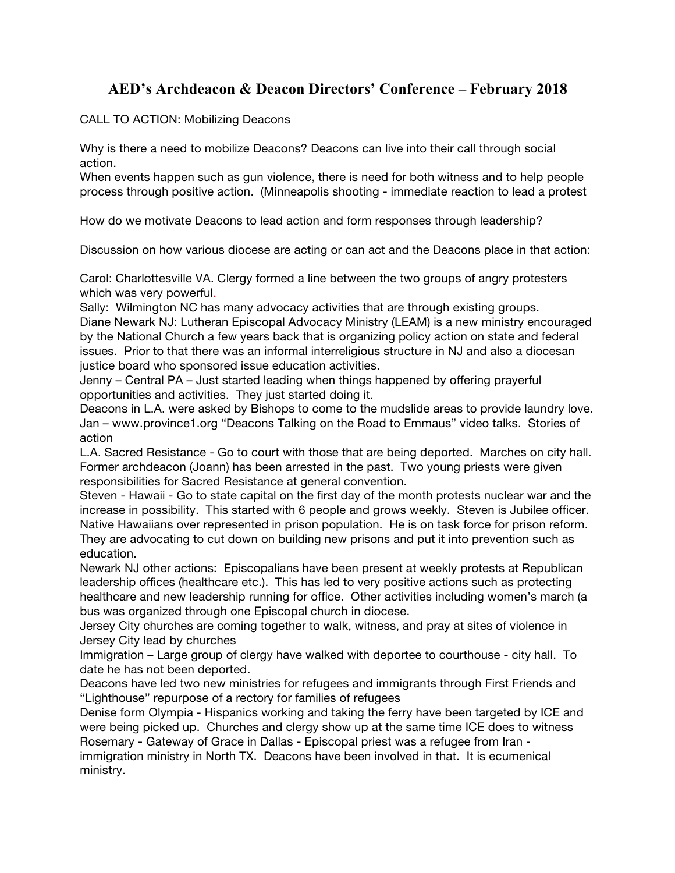## **AED's Archdeacon & Deacon Directors' Conference – February 2018**

CALL TO ACTION: Mobilizing Deacons

Why is there a need to mobilize Deacons? Deacons can live into their call through social action.

When events happen such as gun violence, there is need for both witness and to help people process through positive action. (Minneapolis shooting - immediate reaction to lead a protest

How do we motivate Deacons to lead action and form responses through leadership?

Discussion on how various diocese are acting or can act and the Deacons place in that action:

Carol: Charlottesville VA. Clergy formed a line between the two groups of angry protesters which was very powerful.

Sally: Wilmington NC has many advocacy activities that are through existing groups. Diane Newark NJ: Lutheran Episcopal Advocacy Ministry (LEAM) is a new ministry encouraged by the National Church a few years back that is organizing policy action on state and federal issues. Prior to that there was an informal interreligious structure in NJ and also a diocesan justice board who sponsored issue education activities.

Jenny – Central PA – Just started leading when things happened by offering prayerful opportunities and activities. They just started doing it.

Deacons in L.A. were asked by Bishops to come to the mudslide areas to provide laundry love. Jan – www.province1.org "Deacons Talking on the Road to Emmaus" video talks. Stories of action

L.A. Sacred Resistance - Go to court with those that are being deported. Marches on city hall. Former archdeacon (Joann) has been arrested in the past. Two young priests were given responsibilities for Sacred Resistance at general convention.

Steven - Hawaii - Go to state capital on the first day of the month protests nuclear war and the increase in possibility. This started with 6 people and grows weekly. Steven is Jubilee officer. Native Hawaiians over represented in prison population. He is on task force for prison reform. They are advocating to cut down on building new prisons and put it into prevention such as education.

Newark NJ other actions: Episcopalians have been present at weekly protests at Republican leadership offices (healthcare etc.). This has led to very positive actions such as protecting healthcare and new leadership running for office. Other activities including women's march (a bus was organized through one Episcopal church in diocese.

Jersey City churches are coming together to walk, witness, and pray at sites of violence in Jersey City lead by churches

Immigration – Large group of clergy have walked with deportee to courthouse - city hall. To date he has not been deported.

Deacons have led two new ministries for refugees and immigrants through First Friends and "Lighthouse" repurpose of a rectory for families of refugees

Denise form Olympia - Hispanics working and taking the ferry have been targeted by ICE and were being picked up. Churches and clergy show up at the same time ICE does to witness Rosemary - Gateway of Grace in Dallas - Episcopal priest was a refugee from Iran -

immigration ministry in North TX. Deacons have been involved in that. It is ecumenical ministry.